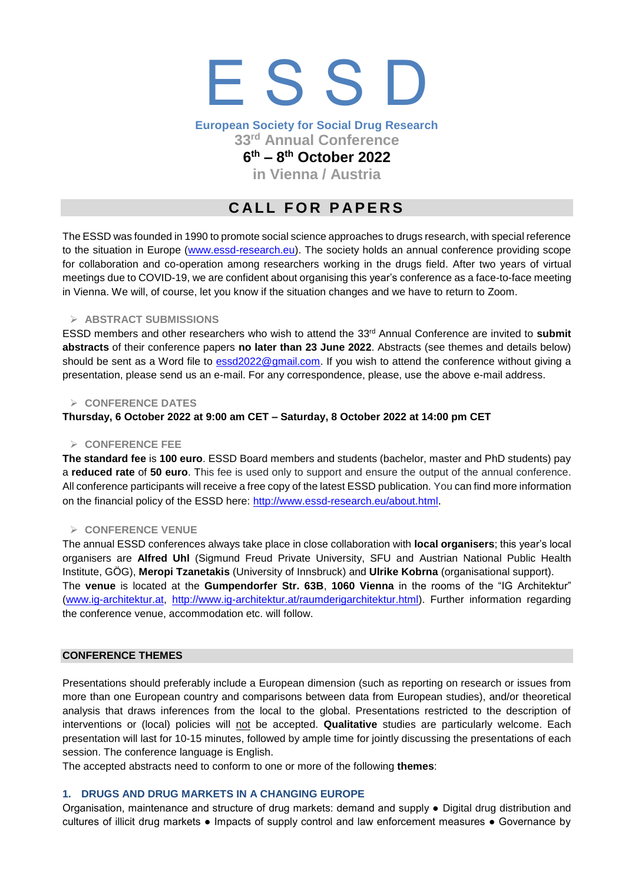# E S S D

## **European Society for Social Drug Research**

**33rd Annual Conference** 

### **6 th – 8 th October 2022**

**in Vienna / Austria**

## **CALL FOR PAPERS**

The ESSD was founded in 1990 to promote social science approaches to drugs research, with special reference to the situation in Europe [\(www.essd-research.eu\)](http://www.essd-research.eu/). The society holds an annual conference providing scope for collaboration and co-operation among researchers working in the drugs field. After two years of virtual meetings due to COVID-19, we are confident about organising this year's conference as a face-to-face meeting in Vienna. We will, of course, let you know if the situation changes and we have to return to Zoom.

#### ➢ **ABSTRACT SUBMISSIONS**

ESSD members and other researchers who wish to attend the 33 rd Annual Conference are invited to **submit abstracts** of their conference papers **no later than 23 June 2022**. Abstracts (see themes and details below) should be sent as a Word file to [essd2022@gmail.com.](mailto:essd2022@gmail.com) If you wish to attend the conference without giving a presentation, please send us an e-mail. For any correspondence, please, use the above e-mail address.

#### ➢ **CONFERENCE DATES**

#### **Thursday, 6 October 2022 at 9:00 am CET – Saturday, 8 October 2022 at 14:00 pm CET**

#### ➢ **CONFERENCE FEE**

**The standard fee** is **100 euro**. ESSD Board members and students (bachelor, master and PhD students) pay a **reduced rate** of **50 euro**. This fee is used only to support and ensure the output of the annual conference. All conference participants will receive a free copy of the latest ESSD publication. You can find more information on the financial policy of the ESSD here: <http://www.essd-research.eu/about.html>.

#### ➢ **CONFERENCE VENUE**

The annual ESSD conferences always take place in close collaboration with **local organisers**; this year's local organisers are **Alfred Uhl** (Sigmund Freud Private University, SFU and Austrian National Public Health Institute, GÖG), **Meropi Tzanetakis** (University of Innsbruck) and **Ulrike Kobrna** (organisational support). The **venue** is located at the **Gumpendorfer Str. 63B**, **1060 Vienna** in the rooms of the "IG Architektur" [\(www.ig-architektur.at,](http://www.ig-architektur.at/) [http://www.ig-architektur.at/raumderigarchitektur.html\)](http://www.ig-architektur.at/raumderigarchitektur.html). Further information regarding the conference venue, accommodation etc. will follow.

#### **CONFERENCE THEMES**

Presentations should preferably include a European dimension (such as reporting on research or issues from more than one European country and comparisons between data from European studies), and/or theoretical analysis that draws inferences from the local to the global. Presentations restricted to the description of interventions or (local) policies will not be accepted. **Qualitative** studies are particularly welcome. Each presentation will last for 10-15 minutes, followed by ample time for jointly discussing the presentations of each session. The conference language is English.

The accepted abstracts need to conform to one or more of the following **themes**:

#### **1. DRUGS AND DRUG MARKETS IN A CHANGING EUROPE**

Organisation, maintenance and structure of drug markets: demand and supply ● Digital drug distribution and cultures of illicit drug markets ● Impacts of supply control and law enforcement measures ● Governance by